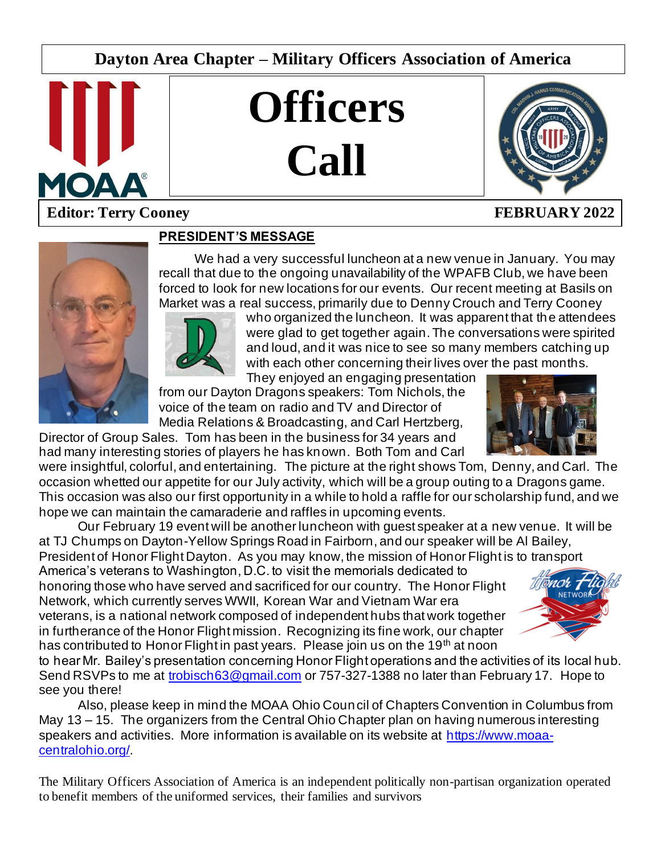# **Dayton Area Chapter – Military Officers Association of America**



# **Officers Call**



# **Editor: Terry Cooney FEBRUARY 2022**



## **PRESIDENT'S MESSAGE**

We had a very successful luncheon at a new venue in January. You may recall that due to the ongoing unavailability of the WPAFB Club, we have been forced to look for new locations for our events. Our recent meeting at Basils on Market was a real success, primarily due to Denny Crouch and Terry Cooney



who organized the luncheon. It was apparent that the attendees were glad to get together again. The conversations were spirited and loud, and it was nice to see so many members catching up with each other concerning their lives over the past months.

 $\overline{\phantom{a}}$ 

They enjoyed an engaging presentation from our Dayton Dragons speakers: Tom Nichols, the voice of the team on radio and TV and Director of Media Relations & Broadcasting, and Carl Hertzberg,

Director of Group Sales. Tom has been in the business for 34 years and had many interesting stories of players he has known. Both Tom and Carl

were insightful, colorful, and entertaining. The picture at the right shows Tom, Denny, and Carl. The occasion whetted our appetite for our July activity, which will be a group outing to a Dragons game. This occasion was also our first opportunity in a while to hold a raffle for our scholarship fund, and we hope we can maintain the camaraderie and raffles in upcoming events.

Our February 19 event will be another luncheon with guest speaker at a new venue. It will be at TJ Chumps on Dayton-Yellow Springs Road in Fairborn, and our speaker will be Al Bailey,

President of Honor Flight Dayton. As you may know, the mission of Honor Flight is to transport America's veterans to Washington, D.C. to visit the memorials dedicated to honoring those who have served and sacrificed for our country. The Honor Flight Network, which currently serves WWII, Korean War and Vietnam War era veterans, is a national network composed of independent hubs that work together in furtherance of the Honor Flight mission. Recognizing its fine work, our chapter has contributed to Honor Flight in past years. Please join us on the 19<sup>th</sup> at noon



to hear Mr. Bailey's presentation concerning Honor Flight operations and the activities of its local hub. Send RSVPs to me at [trobisch63@gmail.com](mailto:trobisch63@gmail.com) or 757-327-1388 no later than February 17. Hope to see you there!

Also, please keep in mind the MOAA Ohio Council of Chapters Convention in Columbus from May 13 – 15. The organizers from the Central Ohio Chapter plan on having numerous interesting speakers and activities. More information is available on its website at [https://www.moaa](https://www.moaa-centralohio.org/)[centralohio.org/.](https://www.moaa-centralohio.org/)

The Military Officers Association of America is an independent politically non-partisan organization operated to benefit members of the uniformed services, their families and survivors

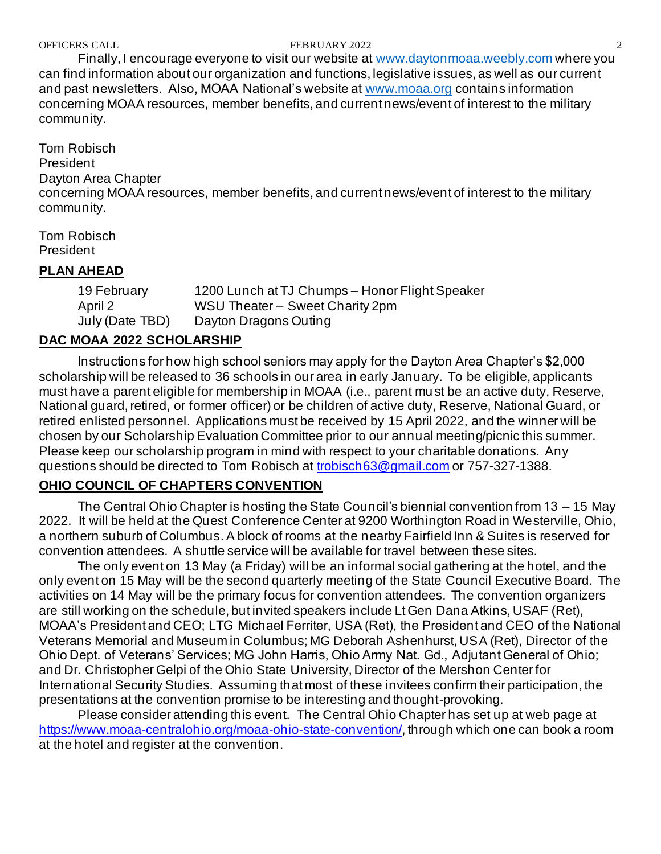#### OFFICERS CALL **EXERUGARY 2022** 2

Finally, I encourage everyone to visit our website at [www.daytonmoaa.weebly.com](http://www.daytonmoaa.weebly.com/) where you can find information about our organization and functions, legislative issues, as well as our current and past newsletters. Also, MOAA National's website at [www.moaa.org](http://www.moaa.org/) contains information concerning MOAA resources, member benefits, and current news/event of interest to the military community.

Tom Robisch President Dayton Area Chapter concerning MOAA resources, member benefits, and current news/event of interest to the military community.

Tom Robisch President

#### **PLAN AHEAD**

19 February 1200 Lunch at TJ Chumps – Honor Flight Speaker April 2 WSU Theater – Sweet Charity 2pm July (Date TBD) Dayton Dragons Outing

## **DAC MOAA 2022 SCHOLARSHIP**

Instructions for how high school seniors may apply for the Dayton Area Chapter's \$2,000 scholarship will be released to 36 schools in our area in early January. To be eligible, applicants must have a parent eligible for membership in MOAA (i.e., parent must be an active duty, Reserve, National guard, retired, or former officer) or be children of active duty, Reserve, National Guard, or retired enlisted personnel. Applications must be received by 15 April 2022, and the winner will be chosen by our Scholarship Evaluation Committee prior to our annual meeting/picnic this summer. Please keep our scholarship program in mind with respect to your charitable donations. Any questions should be directed to Tom Robisch at [trobisch63@gmail.com](mailto:trobisch63@gmail.com) or 757-327-1388.

#### **OHIO COUNCIL OF CHAPTERS CONVENTION**

The Central Ohio Chapter is hosting the State Council's biennial convention from 13 – 15 May 2022. It will be held at the Quest Conference Center at 9200 Worthington Road in Westerville, Ohio, a northern suburb of Columbus. A block of rooms at the nearby Fairfield Inn & Suites is reserved for convention attendees. A shuttle service will be available for travel between these sites.

The only event on 13 May (a Friday) will be an informal social gathering at the hotel, and the only event on 15 May will be the second quarterly meeting of the State Council Executive Board. The activities on 14 May will be the primary focus for convention attendees. The convention organizers are still working on the schedule, but invited speakers include Lt Gen Dana Atkins, USAF (Ret), MOAA's President and CEO; LTG Michael Ferriter, USA (Ret), the President and CEO of the National Veterans Memorial and Museum in Columbus; MG Deborah Ashenhurst, USA (Ret), Director of the Ohio Dept. of Veterans' Services; MG John Harris, Ohio Army Nat. Gd., Adjutant General of Ohio; and Dr. Christopher Gelpi of the Ohio State University, Director of the Mershon Center for International Security Studies. Assuming that most of these invitees confirm their participation, the presentations at the convention promise to be interesting and thought-provoking.

Please consider attending this event. The Central Ohio Chapter has set up at web page at <https://www.moaa-centralohio.org/moaa-ohio-state-convention/>, through which one can book a room at the hotel and register at the convention.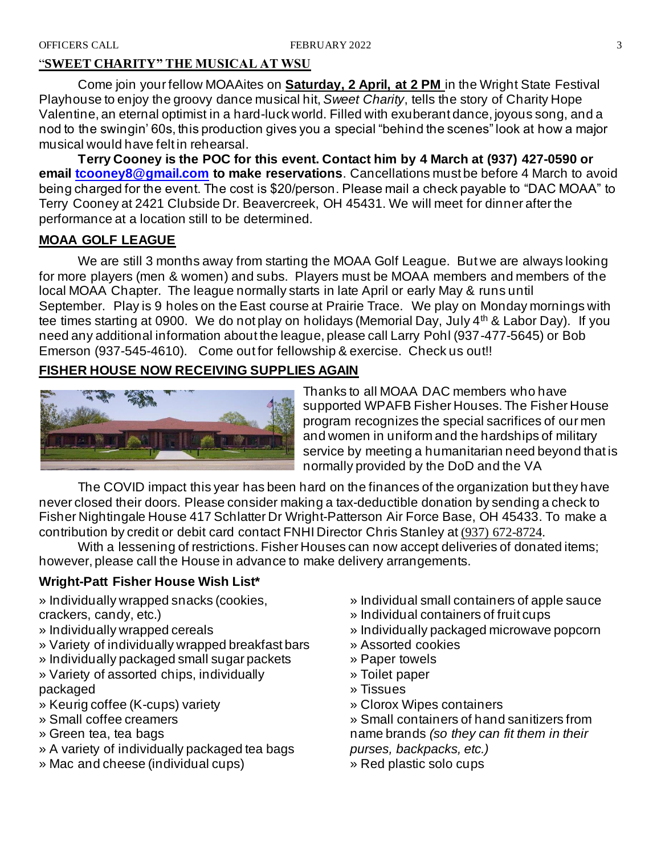#### "**SWEET CHARITY" THE MUSICAL AT WSU**

Come join your fellow MOAAites on **Saturday, 2 April, at 2 PM** in the Wright State Festival Playhouse to enjoy the groovy dance musical hit, *Sweet Charity*, tells the story of Charity Hope Valentine, an eternal optimist in a hard-luck world. Filled with exuberant dance, joyous song, and a nod to the swingin' 60s, this production gives you a special "behind the scenes" look at how a major musical would have felt in rehearsal.

**Terry Cooney is the POC for this event. Contact him by 4 March at (937) 427-0590 or email [tcooney8@gmail.com](mailto:tcooney8@gmail.com) to make reservations**. Cancellations must be before 4 March to avoid being charged for the event. The cost is \$20/person. Please mail a check payable to "DAC MOAA" to Terry Cooney at 2421 Clubside Dr. Beavercreek, OH 45431. We will meet for dinner after the performance at a location still to be determined.

#### **MOAA GOLF LEAGUE**

We are still 3 months away from starting the MOAA Golf League. But we are always looking for more players (men & women) and subs. Players must be MOAA members and members of the local MOAA Chapter. The league normally starts in late April or early May & runs until September. Play is 9 holes on the East course at Prairie Trace. We play on Monday mornings with tee times starting at 0900. We do not play on holidays (Memorial Day, July 4<sup>th</sup> & Labor Day). If you need any additional information about the league, please call Larry Pohl (937-477-5645) or Bob Emerson (937-545-4610). Come out for fellowship & exercise. Check us out!!

#### **FISHER HOUSE NOW RECEIVING SUPPLIES AGAIN**



Thanks to all MOAA DAC members who have supported WPAFB Fisher Houses. The Fisher House program recognizes the special sacrifices of our men and women in uniform and the hardships of military service by meeting a humanitarian need beyond that is normally provided by the DoD and the VA

The COVID impact this year has been hard on the finances of the organization but they have never closed their doors. Please consider making a tax-deductible donation by sending a check to Fisher Nightingale House 417 Schlatter Dr Wright-Patterson Air Force Base, OH 45433. To make a contribution by credit or debit card contact FNHI Director Chris Stanley at [\(937\) 672-8724.](tel:(937)672-8724)

With a lessening of restrictions. Fisher Houses can now accept deliveries of donated items; however, please call the House in advance to make delivery arrangements.

#### **Wright-Patt Fisher House Wish List\***

» Individually wrapped snacks (cookies, crackers, candy, etc.)

- » Individually wrapped cereals
- » Variety of individually wrapped breakfast bars
- » Individually packaged small sugar packets » Variety of assorted chips, individually
- packaged
- » Keurig coffee (K-cups) variety
- » Small coffee creamers
- » Green tea, tea bags
- » A variety of individually packaged tea bags
- » Mac and cheese (individual cups)
- » Individual small containers of apple sauce
- » Individual containers of fruit cups
- » Individually packaged microwave popcorn
- » Assorted cookies
- » Paper towels
- » Toilet paper
- » Tissues
- » Clorox Wipes containers

» Small containers of hand sanitizers from name brands *(so they can fit them in their* 

*purses, backpacks, etc.)*

» Red plastic solo cups